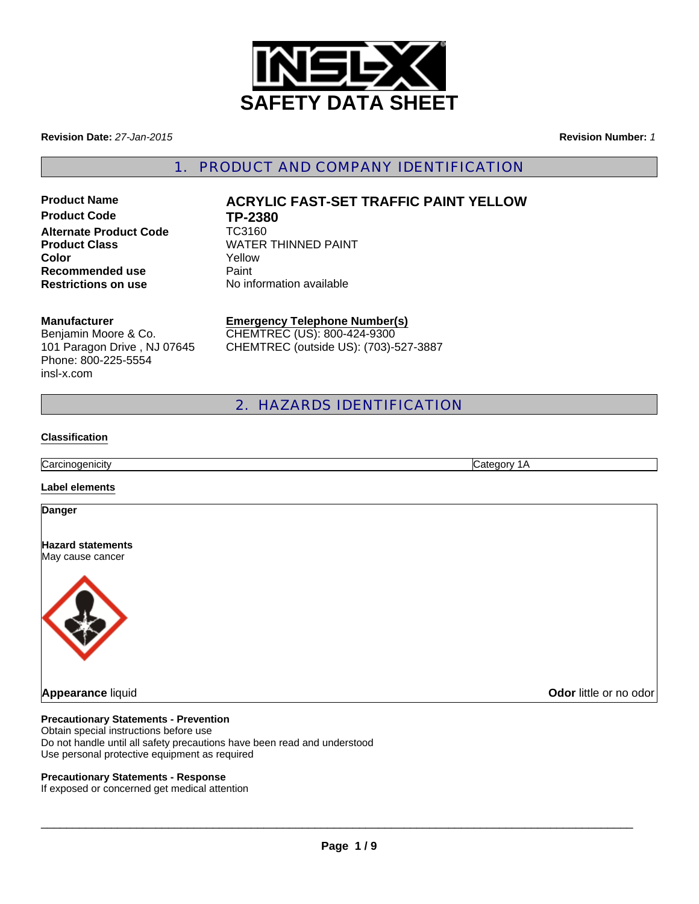

**Revision Date:** *27-Jan-2015*

**Revision Number:** *1*

1. PRODUCT AND COMPANY IDENTIFICATION

**Product Code TP-2380**<br>Alternate Product Code TC3160 **Alternate Product Code Recommended use Paint Restrictions on use** No information available

# **Product Name**  $ACRYLIC FAST-SET TRAFFIC PAINT YELLOW$ **Product Class**<br> **Color**<br> **Color**<br> **Color**<br> **Color Color** Yellow

#### **Manufacturer**

Benjamin Moore & Co. 101 Paragon Drive , NJ 07645 Phone: 800-225-5554 insl-x.com

**Emergency Telephone Number(s)** CHEMTREC (US): 800-424-9300 CHEMTREC (outside US): (703)-527-3887

2. HAZARDS IDENTIFICATION

#### **Classification**

**Carcinogenicity** Category 1A

#### **Label elements**

#### **Danger**

**Hazard statements** May cause cancer



## **Precautionary Statements - Prevention**

Obtain special instructions before use Do not handle until all safety precautions have been read and understood Use personal protective equipment as required

#### **Precautionary Statements - Response**

If exposed or concerned get medical attention

 $\Box$ 

**Appearance** liquid **Odor** little or no odor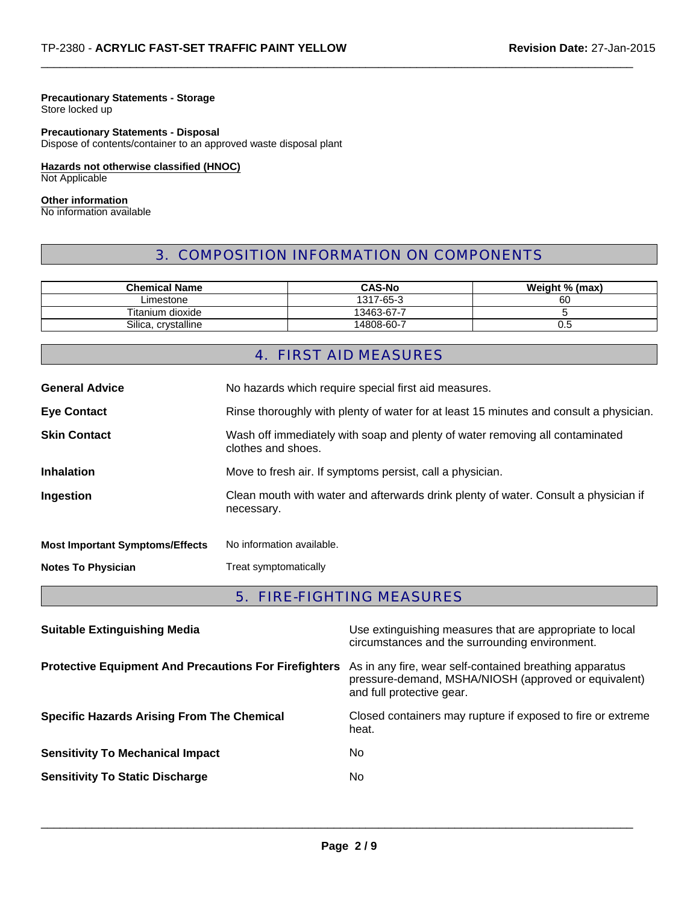## **Precautionary Statements - Storage**

Store locked up

## **Precautionary Statements - Disposal**

Dispose of contents/container to an approved waste disposal plant

**Hazards not otherwise classified (HNOC)** Not Applicable

#### **Other information**

No information available

## 3. COMPOSITION INFORMATION ON COMPONENTS

 $\Box$ 

| <b>Chemical Name</b> | <b>CAS-No</b> | Weight % (max) |
|----------------------|---------------|----------------|
| ∟imestone            | 1317-65-3     | 60             |
| Titanium dioxide     | 13463-67-7    |                |
| Silica, crystalline  | 14808-60-7    | U.5            |

## 4. FIRST AID MEASURES

| <b>General Advice</b>                  | No hazards which require special first aid measures.                                               |  |
|----------------------------------------|----------------------------------------------------------------------------------------------------|--|
| <b>Eye Contact</b>                     | Rinse thoroughly with plenty of water for at least 15 minutes and consult a physician.             |  |
| <b>Skin Contact</b>                    | Wash off immediately with soap and plenty of water removing all contaminated<br>clothes and shoes. |  |
| <b>Inhalation</b>                      | Move to fresh air. If symptoms persist, call a physician.                                          |  |
| Ingestion                              | Clean mouth with water and afterwards drink plenty of water. Consult a physician if<br>necessary.  |  |
| <b>Most Important Symptoms/Effects</b> | No information available.                                                                          |  |
| <b>Notes To Physician</b>              | Treat symptomatically                                                                              |  |
|                                        |                                                                                                    |  |

## 5. FIRE-FIGHTING MEASURES

| <b>Suitable Extinguishing Media</b>                          | Use extinguishing measures that are appropriate to local<br>circumstances and the surrounding environment.                                   |
|--------------------------------------------------------------|----------------------------------------------------------------------------------------------------------------------------------------------|
| <b>Protective Equipment And Precautions For Firefighters</b> | As in any fire, wear self-contained breathing apparatus<br>pressure-demand, MSHA/NIOSH (approved or equivalent)<br>and full protective gear. |
| <b>Specific Hazards Arising From The Chemical</b>            | Closed containers may rupture if exposed to fire or extreme<br>heat.                                                                         |
| <b>Sensitivity To Mechanical Impact</b>                      | No.                                                                                                                                          |
| <b>Sensitivity To Static Discharge</b>                       | No.                                                                                                                                          |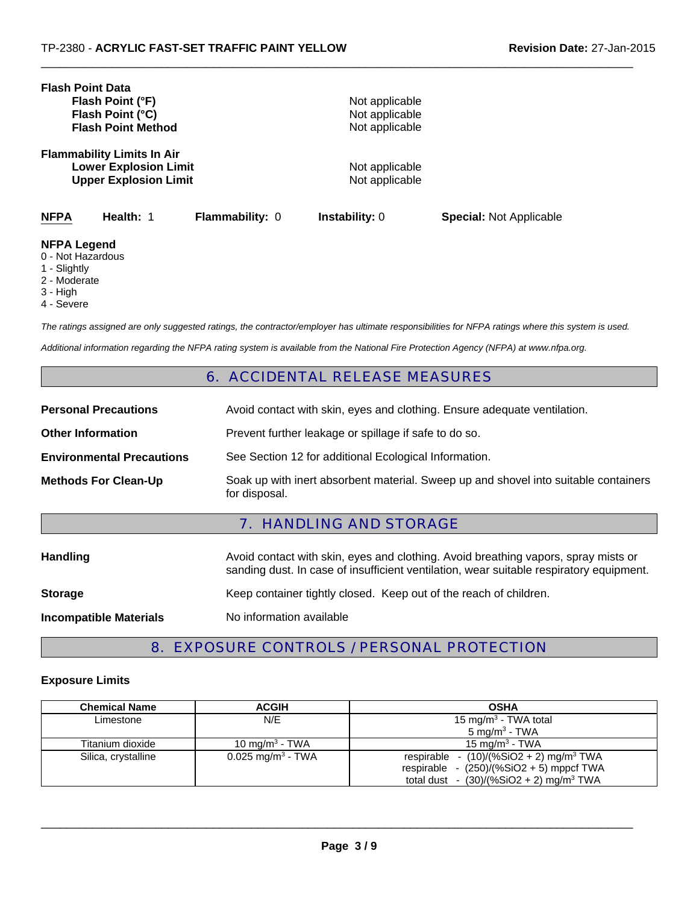| <b>Flash Point Data</b><br>Flash Point (°F)<br>Flash Point (°C)<br><b>Flash Point Method</b> |                                                                                                   | Not applicable<br>Not applicable<br>Not applicable |                                  |                                |
|----------------------------------------------------------------------------------------------|---------------------------------------------------------------------------------------------------|----------------------------------------------------|----------------------------------|--------------------------------|
|                                                                                              | <b>Flammability Limits In Air</b><br><b>Lower Explosion Limit</b><br><b>Upper Explosion Limit</b> |                                                    | Not applicable<br>Not applicable |                                |
| <b>NFPA</b>                                                                                  | Health: 1                                                                                         | <b>Flammability: 0</b>                             | <b>Instability:</b> 0            | <b>Special: Not Applicable</b> |
| <b>NFPA Legend</b><br>0 - Not Hazardous                                                      |                                                                                                   |                                                    |                                  |                                |

- Not Hazardous
- 1 Slightly
- 2 Moderate
- 3 High
- 4 Severe

*The ratings assigned are only suggested ratings, the contractor/employer has ultimate responsibilities for NFPA ratings where this system is used.*

 $\Box$ 

*Additional information regarding the NFPA rating system is available from the National Fire Protection Agency (NFPA) at www.nfpa.org.*

## 6. ACCIDENTAL RELEASE MEASURES

|                                  | - 1                                                                                                  |
|----------------------------------|------------------------------------------------------------------------------------------------------|
| <b>Methods For Clean-Up</b>      | Soak up with inert absorbent material. Sweep up and shovel into suitable containers<br>for disposal. |
| <b>Environmental Precautions</b> | See Section 12 for additional Ecological Information.                                                |
| <b>Other Information</b>         | Prevent further leakage or spillage if safe to do so.                                                |
| <b>Personal Precautions</b>      | Avoid contact with skin, eyes and clothing. Ensure adequate ventilation.                             |

## 7. HANDLING AND STORAGE

| <b>Handling</b>               | Avoid contact with skin, eyes and clothing. Avoid breathing vapors, spray mists or<br>sanding dust. In case of insufficient ventilation, wear suitable respiratory equipment. |  |  |
|-------------------------------|-------------------------------------------------------------------------------------------------------------------------------------------------------------------------------|--|--|
| <b>Storage</b>                | Keep container tightly closed. Keep out of the reach of children.                                                                                                             |  |  |
| <b>Incompatible Materials</b> | No information available                                                                                                                                                      |  |  |

## 8. EXPOSURE CONTROLS / PERSONAL PROTECTION

#### **Exposure Limits**

| <b>Chemical Name</b> | <b>ACGIH</b>                  | <b>OSHA</b>                                           |
|----------------------|-------------------------------|-------------------------------------------------------|
| Limestone            | N/E                           | 15 mg/m <sup>3</sup> - TWA total                      |
|                      |                               | 5 mg/m <sup>3</sup> - TWA                             |
| Titanium dioxide     | 10 mg/m <sup>3</sup> - TWA    | 15 mg/m <sup>3</sup> - TWA                            |
| Silica, crystalline  | 0.025 mg/m <sup>3</sup> - TWA | respirable - $(10)/(%SiO2 + 2)$ mg/m <sup>3</sup> TWA |
|                      |                               | respirable - $(250)/(%SiO2 + 5)$ mppcf TWA            |
|                      |                               | total dust - $(30)/(%SiO2 + 2)$ mg/m <sup>3</sup> TWA |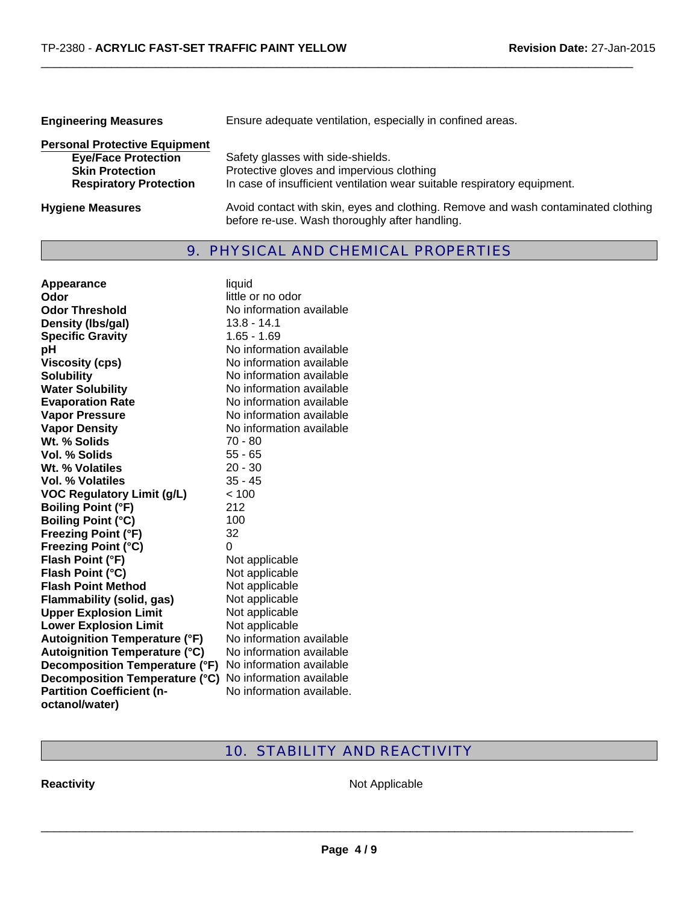| <b>Engineering Measures</b>                                                                                                   | Ensure adequate ventilation, especially in confined areas.                                                                                                 |  |
|-------------------------------------------------------------------------------------------------------------------------------|------------------------------------------------------------------------------------------------------------------------------------------------------------|--|
| <b>Personal Protective Equipment</b><br><b>Eye/Face Protection</b><br><b>Skin Protection</b><br><b>Respiratory Protection</b> | Safety glasses with side-shields.<br>Protective gloves and impervious clothing<br>In case of insufficient ventilation wear suitable respiratory equipment. |  |
| <b>Hygiene Measures</b>                                                                                                       | Avoid contact with skin, eyes and clothing. Remove and wash contaminated clothing<br>before re-use. Wash thoroughly after handling.                        |  |

 $\Box$ 

## 9. PHYSICAL AND CHEMICAL PROPERTIES

| <b>Appearance</b>                    | liquid                    |
|--------------------------------------|---------------------------|
| Odor                                 | little or no odor         |
| <b>Odor Threshold</b>                | No information available  |
| Density (Ibs/gal)                    | 13.8 - 14.1               |
| <b>Specific Gravity</b>              | $1.65 - 1.69$             |
| рH                                   | No information available  |
| <b>Viscosity (cps)</b>               | No information available  |
| <b>Solubility</b>                    | No information available  |
| <b>Water Solubility</b>              | No information available  |
| <b>Evaporation Rate</b>              | No information available  |
| <b>Vapor Pressure</b>                | No information available  |
| <b>Vapor Density</b>                 | No information available  |
| Wt. % Solids                         | 70 - 80                   |
| <b>Vol. % Solids</b>                 | $55 - 65$                 |
| Wt. % Volatiles                      | $20 - 30$                 |
| <b>Vol. % Volatiles</b>              | $35 - 45$                 |
| <b>VOC Regulatory Limit (g/L)</b>    | < 100                     |
| <b>Boiling Point (°F)</b>            | 212                       |
| <b>Boiling Point (°C)</b>            | 100                       |
| <b>Freezing Point (°F)</b>           | 32                        |
| <b>Freezing Point (°C)</b>           | 0                         |
| Flash Point (°F)                     | Not applicable            |
| Flash Point (°C)                     | Not applicable            |
| <b>Flash Point Method</b>            | Not applicable            |
| <b>Flammability (solid, gas)</b>     | Not applicable            |
| <b>Upper Explosion Limit</b>         | Not applicable            |
| <b>Lower Explosion Limit</b>         | Not applicable            |
| <b>Autoignition Temperature (°F)</b> | No information available  |
| <b>Autoignition Temperature (°C)</b> | No information available  |
| Decomposition Temperature (°F)       | No information available  |
| Decomposition Temperature (°C)       | No information available  |
| <b>Partition Coefficient (n-</b>     | No information available. |
| octanol/water)                       |                           |

## 10. STABILITY AND REACTIVITY

**Reactivity Not Applicable**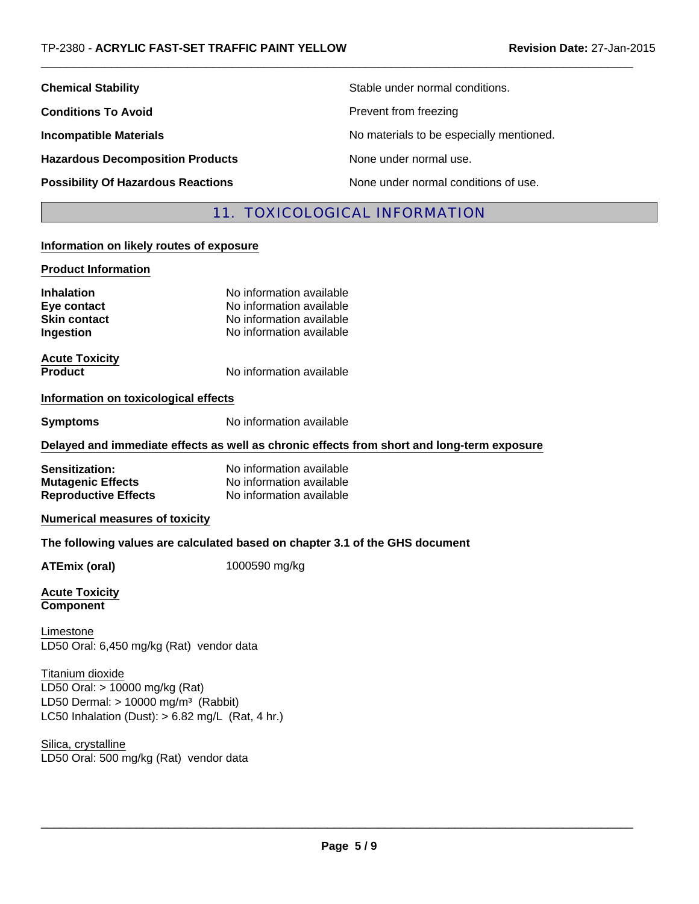| <b>Chemical Stability</b>                 | Stable under normal conditions.          |
|-------------------------------------------|------------------------------------------|
| <b>Conditions To Avoid</b>                | Prevent from freezing                    |
| <b>Incompatible Materials</b>             | No materials to be especially mentioned. |
| <b>Hazardous Decomposition Products</b>   | None under normal use.                   |
| <b>Possibility Of Hazardous Reactions</b> | None under normal conditions of use.     |

## 11. TOXICOLOGICAL INFORMATION

 $\Box$ 

## **Information on likely routes of exposure**

#### **Product Information**

| <b>Inhalation</b><br>Eye contact<br><b>Skin contact</b><br>Ingestion                                                                                          | No information available<br>No information available<br>No information available<br>No information available |
|---------------------------------------------------------------------------------------------------------------------------------------------------------------|--------------------------------------------------------------------------------------------------------------|
| <b>Acute Toxicity</b><br><b>Product</b>                                                                                                                       | No information available                                                                                     |
| Information on toxicological effects                                                                                                                          |                                                                                                              |
| <b>Symptoms</b>                                                                                                                                               | No information available                                                                                     |
|                                                                                                                                                               | Delayed and immediate effects as well as chronic effects from short and long-term exposure                   |
| Sensitization:<br><b>Mutagenic Effects</b><br><b>Reproductive Effects</b>                                                                                     | No information available<br>No information available<br>No information available                             |
| <b>Numerical measures of toxicity</b>                                                                                                                         |                                                                                                              |
|                                                                                                                                                               | The following values are calculated based on chapter 3.1 of the GHS document                                 |
| <b>ATEmix (oral)</b>                                                                                                                                          | 1000590 mg/kg                                                                                                |
| <b>Acute Toxicity</b><br><b>Component</b>                                                                                                                     |                                                                                                              |
| Limestone<br>LD50 Oral: 6,450 mg/kg (Rat) vendor data                                                                                                         |                                                                                                              |
| Titanium dioxide<br>LD50 Oral: > 10000 mg/kg (Rat)<br>LD50 Dermal: $> 10000$ mg/m <sup>3</sup> (Rabbit)<br>LC50 Inhalation (Dust): $> 6.82$ mg/L (Rat, 4 hr.) |                                                                                                              |

LD50 Oral: 500 mg/kg (Rat) vendor data Silica, crystalline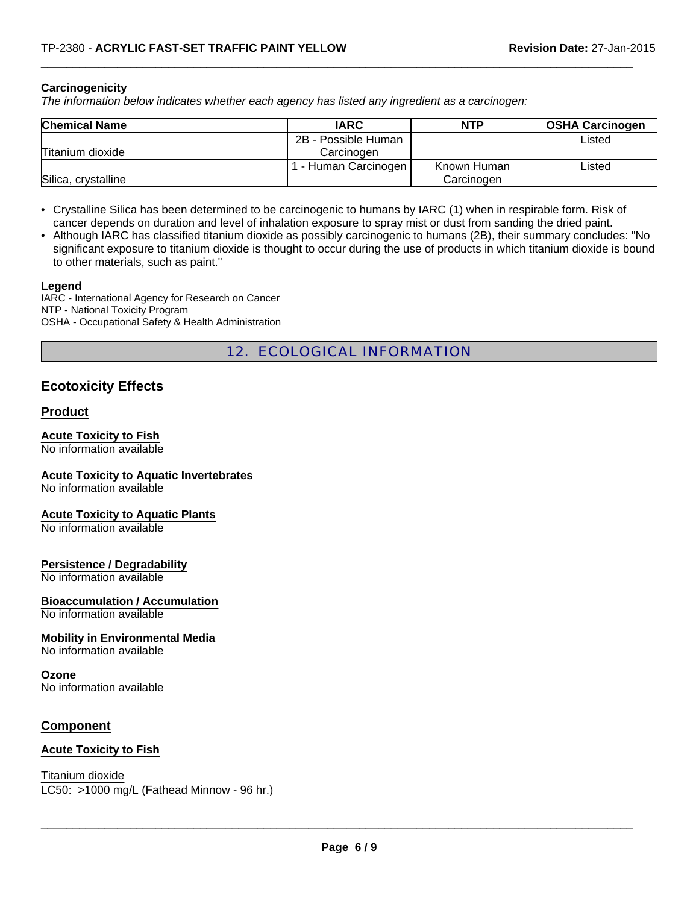## **Carcinogenicity**

*The information below indicates whether each agency has listed any ingredient as a carcinogen:*

| <b>Chemical Name</b> | <b>IARC</b>            | <b>NTP</b>  | <b>OSHA Carcinogen</b> |
|----------------------|------------------------|-------------|------------------------|
|                      | 2B - Possible Human    |             | Listed                 |
| Titanium dioxide     | Carcinogen             |             |                        |
|                      | . - Human Carcinogen I | Known Human | ∟isted                 |
| Silica, crystalline  |                        | Carcinogen  |                        |

 $\Box$ 

- Crystalline Silica has been determined to be carcinogenic to humans by IARC (1) when in respirable form. Risk of cancer depends on duration and level of inhalation exposure to spray mist or dust from sanding the dried paint.
- Although IARC has classified titanium dioxide as possibly carcinogenic to humans (2B), their summary concludes: "No significant exposure to titanium dioxide is thought to occur during the use of products in which titanium dioxide is bound to other materials, such as paint."

## **Legend**

IARC - International Agency for Research on Cancer NTP - National Toxicity Program OSHA - Occupational Safety & Health Administration

12. ECOLOGICAL INFORMATION

## **Ecotoxicity Effects**

## **Product**

## **Acute Toxicity to Fish**

No information available

## **Acute Toxicity to Aquatic Invertebrates**

No information available

## **Acute Toxicity to Aquatic Plants**

No information available

#### **Persistence / Degradability**

No information available

## **Bioaccumulation / Accumulation**

No information available

## **Mobility in Environmental Media**

No information available

## **Ozone**

No information available

## **Component**

## **Acute Toxicity to Fish**

Titanium dioxide

LC50: >1000 mg/L (Fathead Minnow - 96 hr.)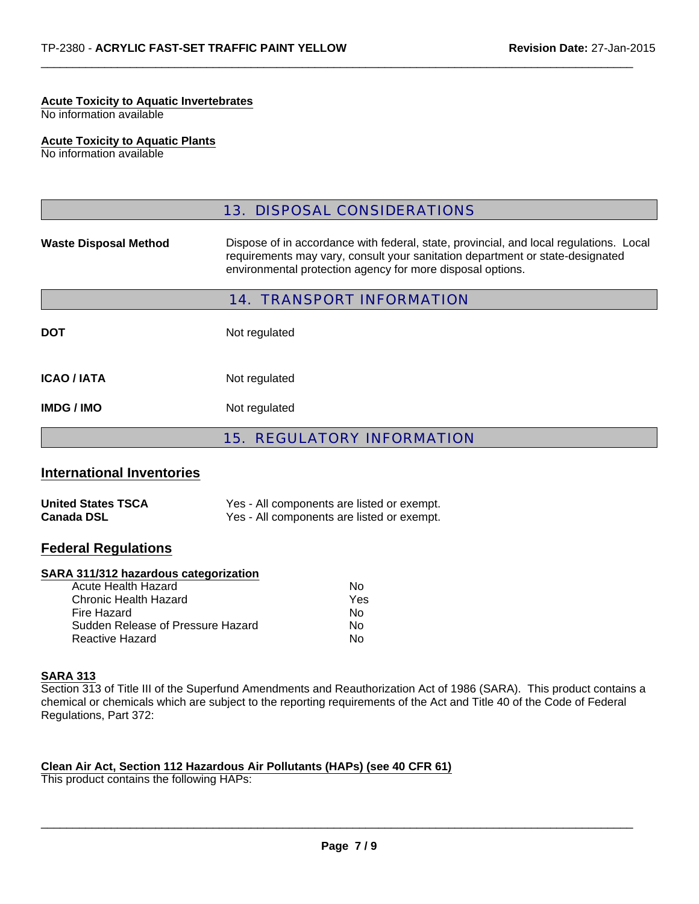## **Acute Toxicity to Aquatic Invertebrates**

No information available

## **Acute Toxicity to Aquatic Plants**

No information available

|                                  | <b>13. DISPOSAL CONSIDERATIONS</b>                                                                                                                                                                                                    |  |  |
|----------------------------------|---------------------------------------------------------------------------------------------------------------------------------------------------------------------------------------------------------------------------------------|--|--|
| <b>Waste Disposal Method</b>     | Dispose of in accordance with federal, state, provincial, and local regulations. Local<br>requirements may vary, consult your sanitation department or state-designated<br>environmental protection agency for more disposal options. |  |  |
| <b>14. TRANSPORT INFORMATION</b> |                                                                                                                                                                                                                                       |  |  |
| <b>DOT</b>                       | Not regulated                                                                                                                                                                                                                         |  |  |
| <b>ICAO / IATA</b>               | Not regulated                                                                                                                                                                                                                         |  |  |
| <b>IMDG/IMO</b>                  | Not regulated                                                                                                                                                                                                                         |  |  |
|                                  | <b>15. REGULATORY INFORMATION</b>                                                                                                                                                                                                     |  |  |

 $\Box$ 

## **International Inventories**

| <b>United States TSCA</b> | Yes - All components are listed or exempt. |
|---------------------------|--------------------------------------------|
| <b>Canada DSL</b>         | Yes - All components are listed or exempt. |

## **Federal Regulations**

#### **SARA 311/312 hazardous categorization**

| N٥  |
|-----|
| Yes |
| N٥  |
| N٥  |
| N٥  |
|     |

#### **SARA 313**

Section 313 of Title III of the Superfund Amendments and Reauthorization Act of 1986 (SARA). This product contains a chemical or chemicals which are subject to the reporting requirements of the Act and Title 40 of the Code of Federal Regulations, Part 372:

## **Clean Air Act, Section 112 Hazardous Air Pollutants (HAPs) (see 40 CFR 61)**

This product contains the following HAPs: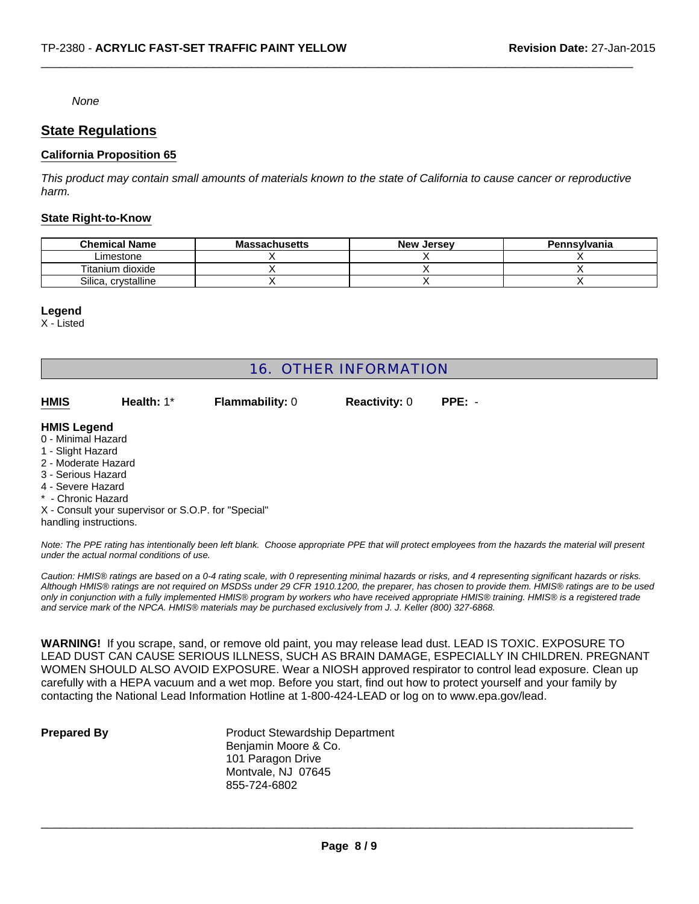#### *None*

## **State Regulations**

## **California Proposition 65**

*This product may contain small amounts of materials known to the state of California to cause cancer or reproductive harm.*

 $\Box$ 

#### **State Right-to-Know**

| <b>Chemical Name</b> | <b>Massachusetts</b> | <b>New Jersey</b> | Pennsylvania |
|----------------------|----------------------|-------------------|--------------|
| Limestone            |                      |                   |              |
| Titanium dioxide     |                      |                   |              |
| Silica, crystalline  |                      |                   |              |

#### **Legend**

X - Listed

## 16. OTHER INFORMATION

| <b>HMIS</b>        | Health: $1^*$ | <b>Flammability: 0</b> | <b>Reactivity: 0</b> | $PPE: -$ |
|--------------------|---------------|------------------------|----------------------|----------|
| <b>HMIS Legend</b> |               |                        |                      |          |

- 0 Minimal Hazard
- 1 Slight Hazard
- 2 Moderate Hazard
- 3 Serious Hazard
- 4 Severe Hazard
- \* Chronic Hazard

X - Consult your supervisor or S.O.P. for "Special" handling instructions.

*Note: The PPE rating has intentionally been left blank. Choose appropriate PPE that will protect employees from the hazards the material will present under the actual normal conditions of use.*

*Caution: HMIS® ratings are based on a 0-4 rating scale, with 0 representing minimal hazards or risks, and 4 representing significant hazards or risks. Although HMIS® ratings are not required on MSDSs under 29 CFR 1910.1200, the preparer, has chosen to provide them. HMIS® ratings are to be used only in conjunction with a fully implemented HMIS® program by workers who have received appropriate HMIS® training. HMIS® is a registered trade and service mark of the NPCA. HMIS® materials may be purchased exclusively from J. J. Keller (800) 327-6868.*

**WARNING!** If you scrape, sand, or remove old paint, you may release lead dust. LEAD IS TOXIC. EXPOSURE TO LEAD DUST CAN CAUSE SERIOUS ILLNESS, SUCH AS BRAIN DAMAGE, ESPECIALLY IN CHILDREN. PREGNANT WOMEN SHOULD ALSO AVOID EXPOSURE. Wear a NIOSH approved respirator to control lead exposure. Clean up carefully with a HEPA vacuum and a wet mop. Before you start, find out how to protect yourself and your family by contacting the National Lead Information Hotline at 1-800-424-LEAD or log on to www.epa.gov/lead.

**Prepared By** Product Stewardship Department Benjamin Moore & Co. 101 Paragon Drive Montvale, NJ 07645 855-724-6802

 $\_$  ,  $\_$  ,  $\_$  ,  $\_$  ,  $\_$  ,  $\_$  ,  $\_$  ,  $\_$  ,  $\_$  ,  $\_$  ,  $\_$  ,  $\_$  ,  $\_$  ,  $\_$  ,  $\_$  ,  $\_$  ,  $\_$  ,  $\_$  ,  $\_$  ,  $\_$  ,  $\_$  ,  $\_$  ,  $\_$  ,  $\_$  ,  $\_$  ,  $\_$  ,  $\_$  ,  $\_$  ,  $\_$  ,  $\_$  ,  $\_$  ,  $\_$  ,  $\_$  ,  $\_$  ,  $\_$  ,  $\_$  ,  $\_$  ,